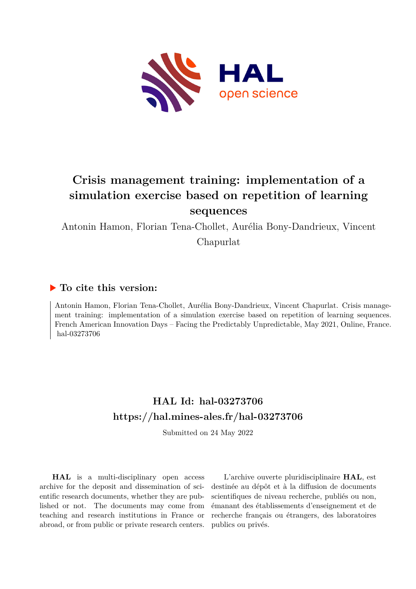

# **Crisis management training: implementation of a simulation exercise based on repetition of learning sequences**

Antonin Hamon, Florian Tena-Chollet, Aurélia Bony-Dandrieux, Vincent Chapurlat

# **To cite this version:**

Antonin Hamon, Florian Tena-Chollet, Aurélia Bony-Dandrieux, Vincent Chapurlat. Crisis management training: implementation of a simulation exercise based on repetition of learning sequences. French American Innovation Days – Facing the Predictably Unpredictable, May 2021, Online, France. hal-03273706

# **HAL Id: hal-03273706 <https://hal.mines-ales.fr/hal-03273706>**

Submitted on 24 May 2022

**HAL** is a multi-disciplinary open access archive for the deposit and dissemination of scientific research documents, whether they are published or not. The documents may come from teaching and research institutions in France or abroad, or from public or private research centers.

L'archive ouverte pluridisciplinaire **HAL**, est destinée au dépôt et à la diffusion de documents scientifiques de niveau recherche, publiés ou non, émanant des établissements d'enseignement et de recherche français ou étrangers, des laboratoires publics ou privés.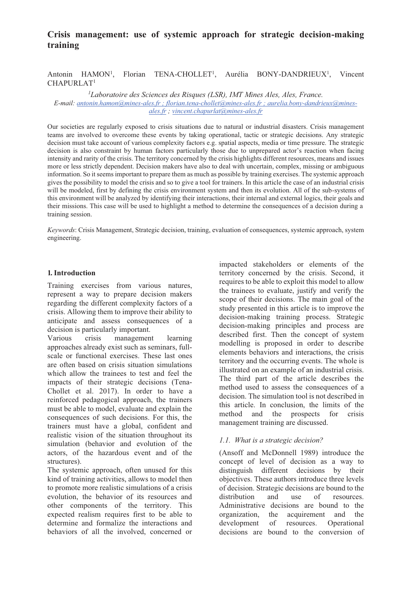# **Crisis management: use of systemic approach for strategic decision-making training**

### Antonin HAMON<sup>1</sup>, Florian TENA-CHOLLET<sup>1</sup>, Aurélia BONY-DANDRIEUX<sup>1</sup>, Vincent  $CHAPIRLAT<sup>1</sup>$

*<sup>1</sup>Laboratoire des Sciences des Risques (LSR), IMT Mines Ales, Ales, France.*

*E-mail: antonin.hamon@mines-ales.fr ; florian.tena-chollet@mines-ales.fr ; aurelia.bony-dandrieux@minesales.fr ; vincent.chapurlat@mines-ales.fr*

Our societies are regularly exposed to crisis situations due to natural or industrial disasters. Crisis management teams are involved to overcome these events by taking operational, tactic or strategic decisions. Any strategic decision must take account of various complexity factors e.g. spatial aspects, media or time pressure. The strategic decision is also constraint by human factors particularly those due to unprepared actor's reaction when facing intensity and rarity of the crisis. The territory concerned by the crisis highlights different resources, means and issues more or less strictly dependent. Decision makers have also to deal with uncertain, complex, missing or ambiguous information. So it seems important to prepare them as much as possible by training exercises. The systemic approach gives the possibility to model the crisis and so to give a tool for trainers. In this article the case of an industrial crisis will be modeled, first by defining the crisis environment system and then its evolution. All of the sub-systems of this environment will be analyzed by identifying their interactions, their internal and external logics, their goals and their missions. This case will be used to highlight a method to determine the consequences of a decision during a training session.

*Keywords*: Crisis Management, Strategic decision, training, evaluation of consequences, systemic approach, system engineering.

### **1. Introduction**

Training exercises from various natures, represent a way to prepare decision makers regarding the different complexity factors of a crisis. Allowing them to improve their ability to anticipate and assess consequences of a decision is particularly important.<br>Various crisis management

Various crisis management learning approaches already exist such as seminars, fullscale or functional exercises. These last ones are often based on crisis situation simulations which allow the trainees to test and feel the impacts of their strategic decisions (Tena-Chollet et al. 2017). In order to have a reinforced pedagogical approach, the trainers must be able to model, evaluate and explain the consequences of such decisions. For this, the trainers must have a global, confident and realistic vision of the situation throughout its simulation (behavior and evolution of the actors, of the hazardous event and of the structures).

The systemic approach, often unused for this kind of training activities, allows to model then to promote more realistic simulations of a crisis evolution, the behavior of its resources and other components of the territory. This expected realism requires first to be able to determine and formalize the interactions and behaviors of all the involved, concerned or impacted stakeholders or elements of the territory concerned by the crisis. Second, it requires to be able to exploit this model to allow the trainees to evaluate, justify and verify the scope of their decisions. The main goal of the study presented in this article is to improve the decision-making training process. Strategic decision-making principles and process are described first. Then the concept of system modelling is proposed in order to describe elements behaviors and interactions, the crisis territory and the occurring events. The whole is illustrated on an example of an industrial crisis. The third part of the article describes the method used to assess the consequences of a decision. The simulation tool is not described in this article. In conclusion, the limits of the method and the prospects for crisis management training are discussed.

# *1.1. What is a strategic decision?*

(Ansoff and McDonnell 1989) introduce the concept of level of decision as a way to distinguish different decisions by their objectives. These authors introduce three levels of decision. Strategic decisions are bound to the distribution and use of resources. Administrative decisions are bound to the organization, the acquirement and the development of resources. Operational decisions are bound to the conversion of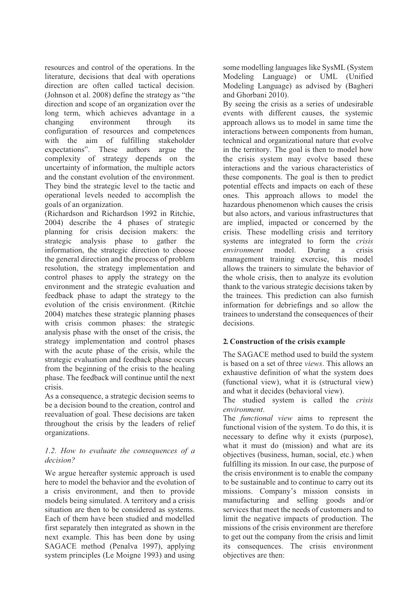resources and control of the operations. In the literature, decisions that deal with operations direction are often called tactical decision. (Johnson et al. 2008) define the strategy as "the direction and scope of an organization over the long term, which achieves advantage in a changing environment through its configuration of resources and competences with the aim of fulfilling stakeholder expectations". These authors argue the complexity of strategy depends on the uncertainty of information, the multiple actors and the constant evolution of the environment. They bind the strategic level to the tactic and operational levels needed to accomplish the goals of an organization.

(Richardson and Richardson 1992 in Ritchie, 2004) describe the 4 phases of strategic planning for crisis decision makers: the strategic analysis phase to gather the information, the strategic direction to choose the general direction and the process of problem resolution, the strategy implementation and control phases to apply the strategy on the environment and the strategic evaluation and feedback phase to adapt the strategy to the evolution of the crisis environment. (Ritchie 2004) matches these strategic planning phases with crisis common phases: the strategic analysis phase with the onset of the crisis, the strategy implementation and control phases with the acute phase of the crisis, while the strategic evaluation and feedback phase occurs from the beginning of the crisis to the healing phase. The feedback will continue until the next crisis.

As a consequence, a strategic decision seems to be a decision bound to the creation, control and reevaluation of goal. These decisions are taken throughout the crisis by the leaders of relief organizations.

# *1.2. How to evaluate the consequences of a decision?*

We argue hereafter systemic approach is used here to model the behavior and the evolution of a crisis environment, and then to provide models being simulated. A territory and a crisis situation are then to be considered as systems. Each of them have been studied and modelled first separately then integrated as shown in the next example. This has been done by using SAGACE method (Penalva 1997), applying system principles (Le Moigne 1993) and using

some modelling languages like SysML (System Modeling Language) or UML (Unified Modeling Language) as advised by (Bagheri and Ghorbani 2010).

By seeing the crisis as a series of undesirable events with different causes, the systemic approach allows us to model in same time the interactions between components from human, technical and organizational nature that evolve in the territory. The goal is then to model how the crisis system may evolve based these interactions and the various characteristics of these components. The goal is then to predict potential effects and impacts on each of these ones. This approach allows to model the hazardous phenomenon which causes the crisis but also actors, and various infrastructures that are implied, impacted or concerned by the crisis. These modelling crisis and territory systems are integrated to form the *crisis environment* model. During a crisis management training exercise, this model allows the trainers to simulate the behavior of the whole crisis, then to analyze its evolution thank to the various strategic decisions taken by the trainees. This prediction can also furnish information for debriefings and so allow the trainees to understand the consequences of their decisions.

# **2. Construction of the crisis example**

The SAGACE method used to build the system is based on a set of three *views*. This allows an exhaustive definition of what the system does (functional view), what it is (structural view) and what it decides (behavioral view).

The studied system is called the *crisis environment*.

The *functional view* aims to represent the functional vision of the system. To do this, it is necessary to define why it exists (purpose), what it must do (mission) and what are its objectives (business, human, social, etc.) when fulfilling its mission. In our case, the purpose of the crisis environment is to enable the company to be sustainable and to continue to carry out its missions. Company's mission consists in manufacturing and selling goods and/or services that meet the needs of customers and to limit the negative impacts of production. The missions of the crisis environment are therefore to get out the company from the crisis and limit its consequences. The crisis environment objectives are then: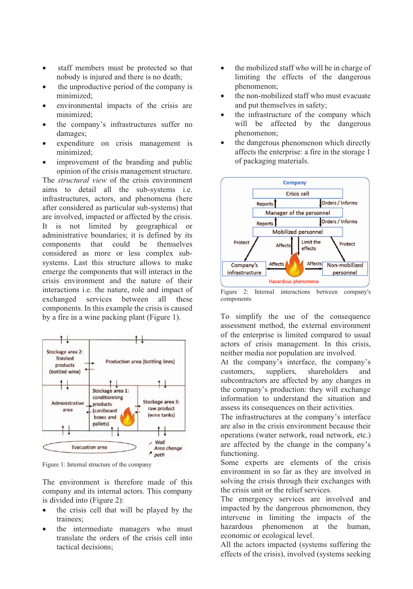- $\bullet$  staff members must be protected so that nobody is injured and there is no death;
- the unproductive period of the company is minimized;
- environmental impacts of the crisis are minimized;
- the company's infrastructures suffer no damages;
- expenditure on crisis management is minimized;
- improvement of the branding and public opinion of the crisis management structure.

The *structural view* of the crisis environment aims to detail all the sub-systems i.e. infrastructures, actors, and phenomena (here after considered as particular sub-systems) that are involved, impacted or affected by the crisis. It is not limited by geographical or administrative boundaries; it is defined by its components that could be themselves considered as more or less complex subsystems. Last this structure allows to make emerge the components that will interact in the crisis environment and the nature of their interactions i.e. the nature, role and impact of exchanged services between all these components. In this example the crisis is caused by a fire in a wine packing plant (Figure 1).



Figure 1: Internal structure of the company

The environment is therefore made of this company and its internal actors. This company is divided into (Figure 2):

- the crisis cell that will be played by the trainees;
- the intermediate managers who must translate the orders of the crisis cell into tactical decisions;
- the mobilized staff who will be in charge of limiting the effects of the dangerous phenomenon;
- the non-mobilized staff who must evacuate and put themselves in safety;
- the infrastructure of the company which will be affected by the dangerous phenomenon;
- the dangerous phenomenon which directly affects the enterprise: a fire in the storage 1 of packaging materials.



Figure 2: Internal interactions between company's components

To simplify the use of the consequence assessment method, the external environment of the enterprise is limited compared to usual actors of crisis management. In this crisis, neither media nor population are involved.

At the company's interface, the company's customers, suppliers, shareholders and subcontractors are affected by any changes in the company's production: they will exchange information to understand the situation and assess its consequences on their activities.

The infrastructures at the company's interface are also in the crisis environment because their operations (water network, road network, etc.) are affected by the change in the company's functioning.

Some experts are elements of the crisis environment in so far as they are involved in solving the crisis through their exchanges with the crisis unit or the relief services.

The emergency services are involved and impacted by the dangerous phenomenon, they intervene in limiting the impacts of the hazardous phenomenon at the human, economic or ecological level.

All the actors impacted (systems suffering the effects of the crisis), involved (systems seeking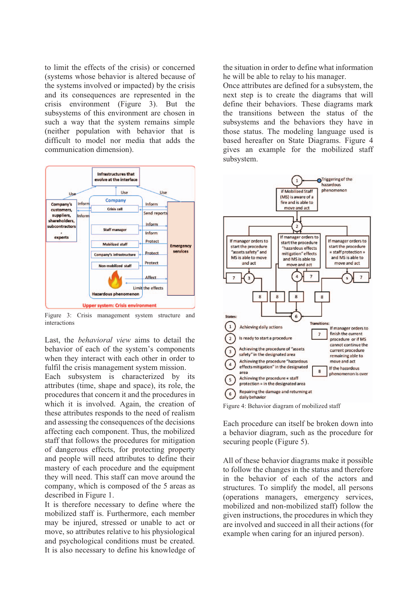to limit the effects of the crisis) or concerned (systems whose behavior is altered because of the systems involved or impacted) by the crisis and its consequences are represented in the crisis environment (Figure 3). But the subsystems of this environment are chosen in such a way that the system remains simple (neither population with behavior that is difficult to model nor media that adds the communication dimension).



Figure 3: Crisis management system structure and interactions

Last, the *behavioral view* aims to detail the behavior of each of the system's components when they interact with each other in order to fulfil the crisis management system mission.

Each subsystem is characterized by its attributes (time, shape and space), its role, the procedures that concern it and the procedures in which it is involved. Again, the creation of these attributes responds to the need of realism and assessing the consequences of the decisions affecting each component. Thus, the mobilized staff that follows the procedures for mitigation of dangerous effects, for protecting property and people will need attributes to define their mastery of each procedure and the equipment they will need. This staff can move around the company, which is composed of the 5 areas as described in Figure 1.

It is therefore necessary to define where the mobilized staff is. Furthermore, each member may be injured, stressed or unable to act or move, so attributes relative to his physiological and psychological conditions must be created. It is also necessary to define his knowledge of

the situation in order to define what information he will be able to relay to his manager.

Once attributes are defined for a subsystem, the next step is to create the diagrams that will define their behaviors. These diagrams mark the transitions between the status of the subsystems and the behaviors they have in those status. The modeling language used is based hereafter on State Diagrams. Figure 4 gives an example for the mobilized staff subsystem.



Figure 4: Behavior diagram of mobilized staff

Each procedure can itself be broken down into a behavior diagram, such as the procedure for securing people (Figure 5).

All of these behavior diagrams make it possible to follow the changes in the status and therefore in the behavior of each of the actors and structures. To simplify the model, all persons (operations managers, emergency services, mobilized and non-mobilized staff) follow the given instructions, the procedures in which they are involved and succeed in all their actions (for example when caring for an injured person).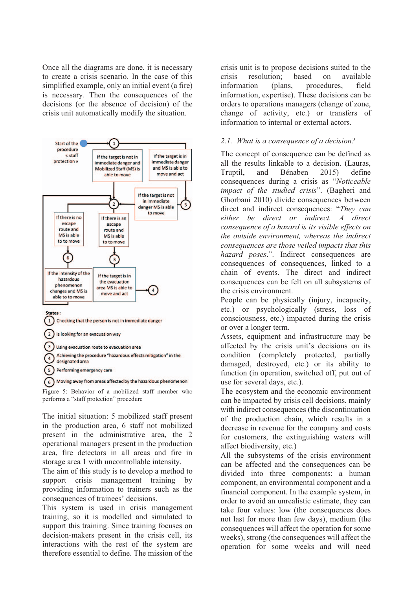Once all the diagrams are done, it is necessary to create a crisis scenario. In the case of this simplified example, only an initial event (a fire) is necessary. Then the consequences of the decisions (or the absence of decision) of the crisis unit automatically modify the situation.



The initial situation: 5 mobilized staff present in the production area, 6 staff not mobilized present in the administrative area, the 2 operational managers present in the production area, fire detectors in all areas and fire in storage area 1 with uncontrollable intensity.

The aim of this study is to develop a method to support crisis management training by providing information to trainers such as the consequences of trainees' decisions.

This system is used in crisis management training, so it is modelled and simulated to support this training. Since training focuses on decision-makers present in the crisis cell, its interactions with the rest of the system are therefore essential to define. The mission of the

crisis unit is to propose decisions suited to the crisis resolution; based on available information (plans, procedures, field information, expertise). These decisions can be orders to operations managers (change of zone, change of activity, etc.) or transfers of information to internal or external actors.

# *2.1. What is a consequence of a decision?*

The concept of consequence can be defined as all the results linkable to a decision. (Lauras, Truptil, and Bénaben 2015) define consequences during a crisis as "*Noticeable impact of the studied crisis*". (Bagheri and Ghorbani 2010) divide consequences between direct and indirect consequences: "*They can either be direct or indirect. A direct consequence of a hazard is its visible effects on the outside environment, whereas the indirect consequences are those veiled impacts that this hazard poses*.". Indirect consequences are consequences of consequences, linked to a chain of events. The direct and indirect consequences can be felt on all subsystems of the crisis environment.

People can be physically (injury, incapacity, etc.) or psychologically (stress, loss of consciousness, etc.) impacted during the crisis or over a longer term.

Assets, equipment and infrastructure may be affected by the crisis unit's decisions on its condition (completely protected, partially damaged, destroyed, etc.) or its ability to function (in operation, switched off, put out of use for several days, etc.).

The ecosystem and the economic environment can be impacted by crisis cell decisions, mainly with indirect consequences (the discontinuation of the production chain, which results in a decrease in revenue for the company and costs for customers, the extinguishing waters will affect biodiversity, etc.)

All the subsystems of the crisis environment can be affected and the consequences can be divided into three components: a human component, an environmental component and a financial component. In the example system, in order to avoid an unrealistic estimate, they can take four values: low (the consequences does not last for more than few days), medium (the consequences will affect the operation for some weeks), strong (the consequences will affect the operation for some weeks and will need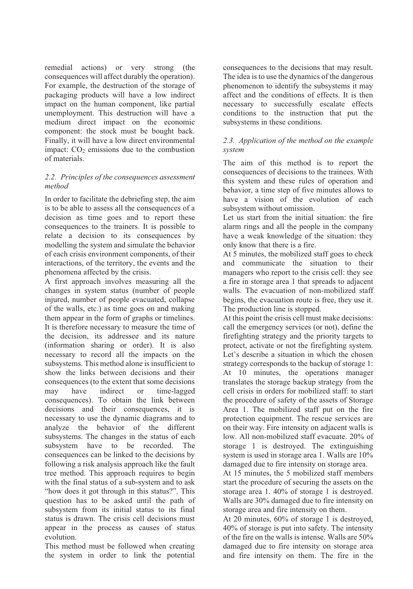remedial actions) or very strong (the consequences will affect durably the operation). For example, the destruction of the storage of packaging products will have a low indirect impact on the human component, like partial unemployment. This destruction will have a medium direct impact on the economic component: the stock must be bought back. Finally, it will have a low direct environmental impact:  $CO<sub>2</sub>$  emissions due to the combustion of materials.

# *2.2. Principles of the consequences assessment method*

In order to facilitate the debriefing step, the aim is to be able to assess all the consequences of a decision as time goes and to report these consequences to the trainers. It is possible to relate a decision to its consequences by modelling the system and simulate the behavior of each crisis environment components, of their interactions, of the territory, the events and the phenomena affected by the crisis.

A first approach involves measuring all the changes in system status (number of people injured, number of people evacuated, collapse of the walls, etc.) as time goes on and making them appear in the form of graphs or timelines. It is therefore necessary to measure the time of the decision, its addressee and its nature (information sharing or order). It is also necessary to record all the impacts on the subsystems. This method alone is insufficient to show the links between decisions and their consequences (to the extent that some decisions may have indirect or time-lagged consequences). To obtain the link between decisions and their consequences, it is necessary to use the dynamic diagrams and to analyze the behavior of the different subsystems. The changes in the status of each subsystem have to be recorded. The consequences can be linked to the decisions by following a risk analysis approach like the fault tree method. This approach requires to begin with the final status of a sub-system and to ask "how does it got through in this status?". This question has to be asked until the path of subsystem from its initial status to its final status is drawn. The crisis cell decisions must appear in the process as causes of status evolution.

This method must be followed when creating the system in order to link the potential consequences to the decisions that may result. The idea is to use the dynamics of the dangerous phenomenon to identify the subsystems it may affect and the conditions of effects. It is then necessary to successfully escalate effects conditions to the instruction that put the subsystems in these conditions.

# *2.3. Application of the method on the example system*

The aim of this method is to report the consequences of decisions to the trainees. With this system and these rules of operation and behavior, a time step of five minutes allows to have a vision of the evolution of each subsystem without omission.

Let us start from the initial situation: the fire alarm rings and all the people in the company have a weak knowledge of the situation: they only know that there is a fire.

At 5 minutes, the mobilized staff goes to check and communicate the situation to their managers who report to the crisis cell: they see a fire in storage area 1 that spreads to adjacent walls. The evacuation of non-mobilized staff begins, the evacuation route is free, they use it. The production line is stopped.

At this point the crisis cell must make decisions: call the emergency services (or not), define the firefighting strategy and the priority targets to protect, activate or not the firefighting system. Let's describe a situation in which the chosen strategy corresponds to the backup of storage 1: At 10 minutes, the operations manager translates the storage backup strategy from the cell crisis in orders for mobilized staff: to start the procedure of safety of the assets of Storage Area 1. The mobilized staff put on the fire protection equipment. The rescue services are on their way. Fire intensity on adjacent walls is low. All non-mobilized staff evacuate. 20% of storage 1 is destroyed. The extinguishing system is used in storage area 1. Walls are 10% damaged due to fire intensity on storage area.

At 15 minutes, the 5 mobilized staff members start the procedure of securing the assets on the storage area 1. 40% of storage 1 is destroyed. Walls are 30% damaged due to fire intensity on storage area and fire intensity on them.

At 20 minutes, 60% of storage 1 is destroyed, 40% of storage is put into safety. The intensity of the fire on the walls is intense. Walls are 50% damaged due to fire intensity on storage area and fire intensity on them. The fire in the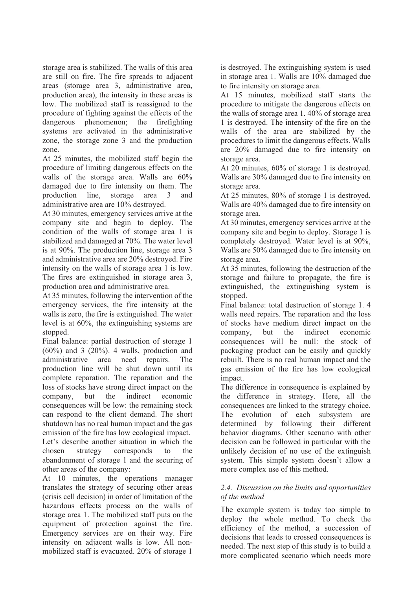storage area is stabilized. The walls of this area are still on fire. The fire spreads to adjacent areas (storage area 3, administrative area, production area), the intensity in these areas is low. The mobilized staff is reassigned to the procedure of fighting against the effects of the dangerous phenomenon; the firefighting systems are activated in the administrative zone, the storage zone 3 and the production zone.

At 25 minutes, the mobilized staff begin the procedure of limiting dangerous effects on the walls of the storage area. Walls are 60% damaged due to fire intensity on them. The production line, storage area 3 and administrative area are 10% destroyed.

At 30 minutes, emergency services arrive at the company site and begin to deploy. The condition of the walls of storage area 1 is stabilized and damaged at 70%. The water level is at 90%. The production line, storage area 3 and administrative area are 20% destroyed. Fire intensity on the walls of storage area 1 is low. The fires are extinguished in storage area 3, production area and administrative area.

At 35 minutes, following the intervention of the emergency services, the fire intensity at the walls is zero, the fire is extinguished. The water level is at 60%, the extinguishing systems are stopped.

Final balance: partial destruction of storage 1  $(60\%)$  and 3  $(20\%)$ . 4 walls, production and administrative area need repairs. The production line will be shut down until its complete reparation. The reparation and the loss of stocks have strong direct impact on the company, but the indirect economic consequences will be low: the remaining stock can respond to the client demand. The short shutdown has no real human impact and the gas emission of the fire has low ecological impact.

Let's describe another situation in which the chosen strategy corresponds to the abandonment of storage 1 and the securing of other areas of the company:

At 10 minutes, the operations manager translates the strategy of securing other areas (crisis cell decision) in order of limitation of the hazardous effects process on the walls of storage area 1. The mobilized staff puts on the equipment of protection against the fire. Emergency services are on their way. Fire intensity on adjacent walls is low. All nonmobilized staff is evacuated. 20% of storage 1

is destroyed. The extinguishing system is used in storage area 1. Walls are 10% damaged due to fire intensity on storage area.

At 15 minutes, mobilized staff starts the procedure to mitigate the dangerous effects on the walls of storage area 1. 40% of storage area 1 is destroyed. The intensity of the fire on the walls of the area are stabilized by the procedures to limit the dangerous effects. Walls are 20% damaged due to fire intensity on storage area.

At 20 minutes, 60% of storage 1 is destroyed. Walls are 30% damaged due to fire intensity on storage area.

At 25 minutes, 80% of storage 1 is destroyed. Walls are 40% damaged due to fire intensity on storage area.

At 30 minutes, emergency services arrive at the company site and begin to deploy. Storage 1 is completely destroyed. Water level is at 90%, Walls are 50% damaged due to fire intensity on storage area.

At 35 minutes, following the destruction of the storage and failure to propagate, the fire is extinguished, the extinguishing system is stopped.

Final balance: total destruction of storage 1. 4 walls need repairs. The reparation and the loss of stocks have medium direct impact on the company, but the indirect economic consequences will be null: the stock of packaging product can be easily and quickly rebuilt. There is no real human impact and the gas emission of the fire has low ecological impact.

The difference in consequence is explained by the difference in strategy. Here, all the consequences are linked to the strategy choice. The evolution of each subsystem are determined by following their different behavior diagrams. Other scenario with other decision can be followed in particular with the unlikely decision of no use of the extinguish system. This simple system doesn't allow a more complex use of this method.

# *2.4. Discussion on the limits and opportunities of the method*

The example system is today too simple to deploy the whole method. To check the efficiency of the method, a succession of decisions that leads to crossed consequences is needed. The next step of this study is to build a more complicated scenario which needs more